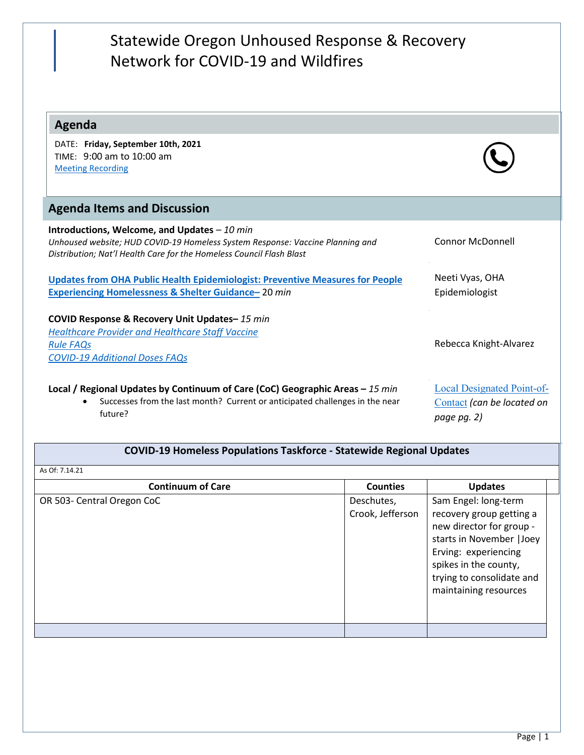| Statewide Oregon Unhoused Response & Recovery<br>Network for COVID-19 and Wildfires                                                                                                                    |                                                                                |
|--------------------------------------------------------------------------------------------------------------------------------------------------------------------------------------------------------|--------------------------------------------------------------------------------|
| <b>Agenda</b>                                                                                                                                                                                          |                                                                                |
| DATE: Friday, September 10th, 2021<br>TIME: 9:00 am to 10:00 am<br><b>Meeting Recording</b>                                                                                                            |                                                                                |
| <b>Agenda Items and Discussion</b>                                                                                                                                                                     |                                                                                |
| Introductions, Welcome, and Updates $-10$ min<br>Unhoused website; HUD COVID-19 Homeless System Response: Vaccine Planning and<br>Distribution; Nat'l Health Care for the Homeless Council Flash Blast | Connor McDonnell                                                               |
| <b>Updates from OHA Public Health Epidemiologist: Preventive Measures for People</b><br>Experiencing Homelessness & Shelter Guidance-20 min                                                            | Neeti Vyas, OHA<br>Epidemiologist                                              |
| COVID Response & Recovery Unit Updates-15 min<br><b>Healthcare Provider and Healthcare Staff Vaccine</b><br><b>Rule FAQs</b><br><b>COVID-19 Additional Doses FAQs</b>                                  | Rebecca Knight-Alvarez                                                         |
| Local / Regional Updates by Continuum of Care (CoC) Geographic Areas - 15 min<br>Successes from the last month? Current or anticipated challenges in the near<br>future?                               | <b>Local Designated Point-of-</b><br>Contact (can be located on<br>page pg. 2) |

## **COVID-19 Homeless Populations Taskforce - Statewide Regional Updates**

## As Of: 7.14.21

| Deschutes,<br>Crook, Jefferson | Sam Engel: long-term<br>recovery group getting a<br>new director for group -                                                     |
|--------------------------------|----------------------------------------------------------------------------------------------------------------------------------|
|                                | starts in November   Joey<br>Erving: experiencing<br>spikes in the county,<br>trying to consolidate and<br>maintaining resources |
|                                |                                                                                                                                  |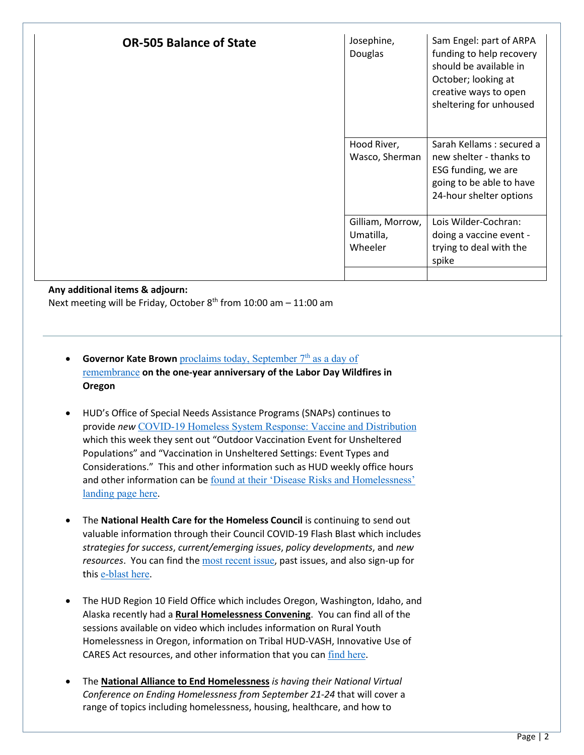| <b>OR-505 Balance of State</b> | Josephine,<br>Douglas                    | Sam Engel: part of ARPA<br>funding to help recovery<br>should be available in<br>October; looking at<br>creative ways to open<br>sheltering for unhoused |
|--------------------------------|------------------------------------------|----------------------------------------------------------------------------------------------------------------------------------------------------------|
|                                | Hood River,<br>Wasco, Sherman            | Sarah Kellams: secured a<br>new shelter - thanks to<br>ESG funding, we are<br>going to be able to have<br>24-hour shelter options                        |
|                                | Gilliam, Morrow,<br>Umatilla,<br>Wheeler | Lois Wilder-Cochran:<br>doing a vaccine event -<br>trying to deal with the<br>spike                                                                      |

## **Any additional items & adjourn:**

Next meeting will be Friday, October  $8<sup>th</sup>$  from 10:00 am – 11:00 am

- **Governor Kate Brown** proclaims today, September 7<sup>th</sup> as a day of [remembrance](https://mailchi.mp/oregon/governor-kate-brown-statement-on-one-year-anniversary-of-the-historic-labor-day-wildfires-in-oregon?e=5ac7bda21f) **on the one-year anniversary of the Labor Day Wildfires in Oregon**
- HUD's Office of Special Needs Assistance Programs (SNAPs) continues to provide *new* [COVID-19 Homeless System Response: Vaccine and Distribution](https://www.hudexchange.info/resource/6229/covid19-homeless-system-response-vaccine-planning-and-distribution/) which this week they sent out "Outdoor Vaccination Event for Unsheltered Populations" and "Vaccination in Unsheltered Settings: Event Types and Considerations." This and other information such as HUD weekly office hours and other information can be [found at their 'Disease Risks and Homelessness'](https://www.hudexchange.info/homelessness-assistance/diseases/)  [landing page here](https://www.hudexchange.info/homelessness-assistance/diseases/).
- The **National Health Care for the Homeless Council** is continuing to send out valuable information through their Council COVID-19 Flash Blast which includes *strategies for success*, *current/emerging issues*, *policy developments*, and *new resources*. You can find the [most recent issue](https://t.e2ma.net/webview/q1uhbjc/ba2e9c4bf1b095f6b2d494613b8b7c64), past issues, and also sign-up for this [e-blast here](https://nhchc.org/council-covid-19-flash-blast/).
- The HUD Region 10 Field Office which includes Oregon, Washington, Idaho, and Alaska recently had a **Rural Homelessness Convening**. You can find all of the sessions available on video which includes information on Rural Youth Homelessness in Oregon, information on Tribal HUD-VASH, Innovative Use of CARES Act resources, and other information that you can [find here](https://www.youtube.com/playlist?list=PLDYbj6cykYZ8jQu5QHJ8cIoDb9g75pZi0).
- The **National Alliance to End Homelessness** *is having their National Virtual Conference on Ending Homelessness from September 21-24* that will cover a range of topics including homelessness, housing, healthcare, and how to